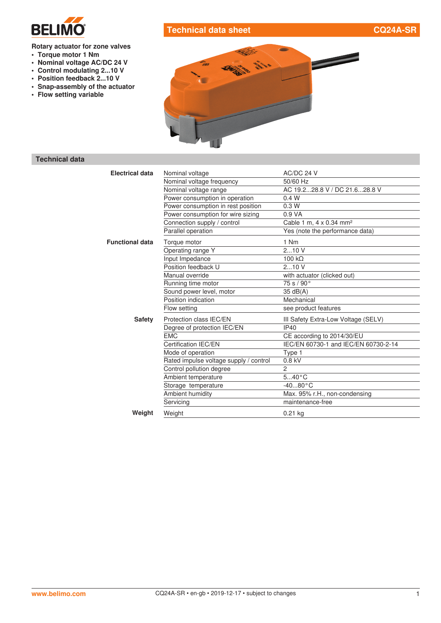

# **Technical data sheet CQ24A-SR**

#### **Rotary actuator for zone valves**

- **• Torque motor 1 Nm**
- **• Nominal voltage AC/DC 24 V**
- **• Control modulating 2...10 V**
- **• Position feedback 2...10 V**
- **• Snap-assembly of the actuator**
- **• Flow setting variable**



## **Technical data**

| <b>Electrical data</b> | Nominal voltage                        | AC/DC 24 V                           |  |
|------------------------|----------------------------------------|--------------------------------------|--|
|                        | Nominal voltage frequency              | 50/60 Hz                             |  |
|                        | Nominal voltage range                  | AC 19.228.8 V / DC 21.628.8 V        |  |
|                        | Power consumption in operation         | 0.4 W                                |  |
|                        | Power consumption in rest position     | 0.3W                                 |  |
|                        | Power consumption for wire sizing      | 0.9 <sub>V</sub> A                   |  |
|                        | Connection supply / control            | Cable 1 m, 4 x 0.34 mm <sup>2</sup>  |  |
|                        | Parallel operation                     | Yes (note the performance data)      |  |
| <b>Functional data</b> | Torque motor                           | 1 Nm                                 |  |
|                        | Operating range Y                      | 210V                                 |  |
|                        | Input Impedance                        | $100 k\Omega$                        |  |
|                        | Position feedback U                    | 210V                                 |  |
|                        | Manual override                        | with actuator (clicked out)          |  |
|                        | Running time motor                     | 75 s/90°                             |  |
|                        | Sound power level, motor               | 35 dB(A)                             |  |
|                        | Position indication                    | Mechanical                           |  |
|                        | Flow setting                           | see product features                 |  |
| <b>Safety</b>          | Protection class IEC/EN                | III Safety Extra-Low Voltage (SELV)  |  |
|                        | Degree of protection IEC/EN            | <b>IP40</b>                          |  |
|                        | <b>EMC</b>                             | CE according to 2014/30/EU           |  |
|                        | Certification IEC/EN                   | IEC/EN 60730-1 and IEC/EN 60730-2-14 |  |
|                        | Mode of operation                      | Type 1                               |  |
|                        | Rated impulse voltage supply / control | $0.8$ kV                             |  |
|                        | Control pollution degree               | $\overline{c}$                       |  |
|                        | Ambient temperature                    | $540^{\circ}$ C                      |  |
|                        | Storage temperature                    | $-4080 °C$                           |  |
|                        | Ambient humidity                       | Max. 95% r.H., non-condensing        |  |
|                        | Servicing                              | maintenance-free                     |  |
| Weight                 | Weight                                 | $0.21$ kg                            |  |
|                        |                                        |                                      |  |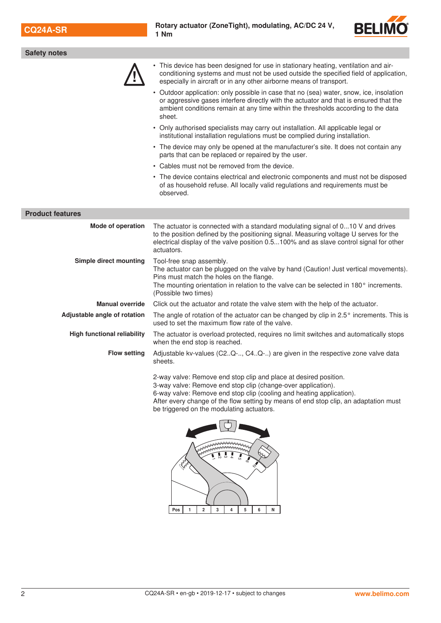

| <b>Safety notes</b>                |                                                                                                                                                                                                                                                                                  |
|------------------------------------|----------------------------------------------------------------------------------------------------------------------------------------------------------------------------------------------------------------------------------------------------------------------------------|
|                                    | This device has been designed for use in stationary heating, ventilation and air-<br>conditioning systems and must not be used outside the specified field of application,<br>especially in aircraft or in any other airborne means of transport.                                |
|                                    | • Outdoor application: only possible in case that no (sea) water, snow, ice, insolation<br>or aggressive gases interfere directly with the actuator and that is ensured that the<br>ambient conditions remain at any time within the thresholds according to the data<br>sheet.  |
|                                    | • Only authorised specialists may carry out installation. All applicable legal or<br>institutional installation regulations must be complied during installation.                                                                                                                |
|                                    | • The device may only be opened at the manufacturer's site. It does not contain any<br>parts that can be replaced or repaired by the user.                                                                                                                                       |
|                                    | • Cables must not be removed from the device.                                                                                                                                                                                                                                    |
|                                    | • The device contains electrical and electronic components and must not be disposed<br>of as household refuse. All locally valid regulations and requirements must be<br>observed.                                                                                               |
| <b>Product features</b>            |                                                                                                                                                                                                                                                                                  |
| Mode of operation                  | The actuator is connected with a standard modulating signal of 010 V and drives<br>to the position defined by the positioning signal. Measuring voltage U serves for the<br>electrical display of the valve position 0.5100% and as slave control signal for other<br>actuators. |
| Simple direct mounting             | Tool-free snap assembly.<br>The actuator can be plugged on the valve by hand (Caution! Just vertical movements).<br>Pins must match the holes on the flange.<br>The mounting orientation in relation to the valve can be selected in 180° increments.<br>(Possible two times)    |
| <b>Manual override</b>             | Click out the actuator and rotate the valve stem with the help of the actuator.                                                                                                                                                                                                  |
| Adjustable angle of rotation       | The angle of rotation of the actuator can be changed by clip in $2.5^\circ$ increments. This is<br>used to set the maximum flow rate of the valve.                                                                                                                               |
| <b>High functional reliability</b> | The actuator is overload protected, requires no limit switches and automatically stops<br>when the end stop is reached.                                                                                                                                                          |
| <b>Flow setting</b>                | Adjustable kv-values (C2Q-, C4Q-) are given in the respective zone valve data<br>sheets.                                                                                                                                                                                         |
|                                    | 2-way valve: Remove end stop clip and place at desired position.<br>3-way valve: Remove end stop clip (change-over application).<br>6-way valve: Remove end stop clip (cooling and heating application).                                                                         |

After every change of the flow setting by means of end stop clip, an adaptation must be triggered on the modulating actuators.

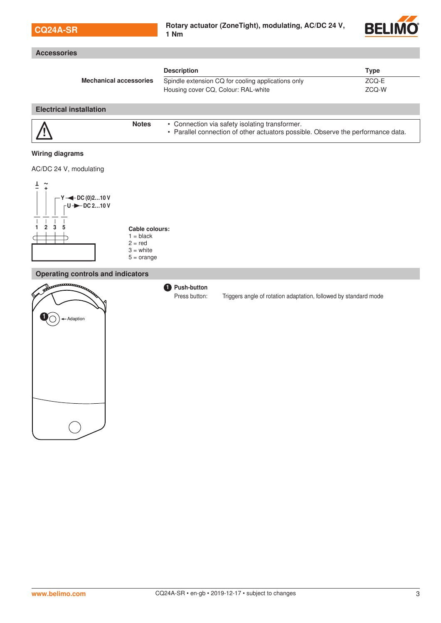| <b>CQ24A-SR</b>                                                                                                                                                                                                | Rotary actuator (ZoneTight), modulating, AC/DC 24 V,<br>1 Nm                                                                       | <b>BELIMO®</b>                  |
|----------------------------------------------------------------------------------------------------------------------------------------------------------------------------------------------------------------|------------------------------------------------------------------------------------------------------------------------------------|---------------------------------|
| <b>Accessories</b>                                                                                                                                                                                             |                                                                                                                                    |                                 |
| <b>Mechanical accessories</b>                                                                                                                                                                                  | <b>Description</b><br>Spindle extension CQ for cooling applications only<br>Housing cover CQ, Colour: RAL-white                    | <b>Type</b><br>$ZCQ-E$<br>ZCQ-W |
| <b>Electrical installation</b>                                                                                                                                                                                 |                                                                                                                                    |                                 |
| <b>Notes</b>                                                                                                                                                                                                   | • Connection via safety isolating transformer.<br>• Parallel connection of other actuators possible. Observe the performance data. |                                 |
| <b>Wiring diagrams</b><br>AC/DC 24 V, modulating<br>Ŧ<br>$\sim$<br>$Y \rightarrow$ DC (0)210 V<br>$U +$ DC 210 V<br>2<br>5<br>Cable colours:<br>$1 = black$<br>$2 = red$<br>$3 = white$<br>$5 = \text{orange}$ |                                                                                                                                    |                                 |
| <b>Operating controls and indicators</b>                                                                                                                                                                       |                                                                                                                                    |                                 |
| <b>FARACESCOMMENT</b><br>Adaption                                                                                                                                                                              | <b>D</b> Push-button<br>Press button:<br>Triggers angle of rotation adaptation, followed by standard mode                          |                                 |

**STATISTICS**